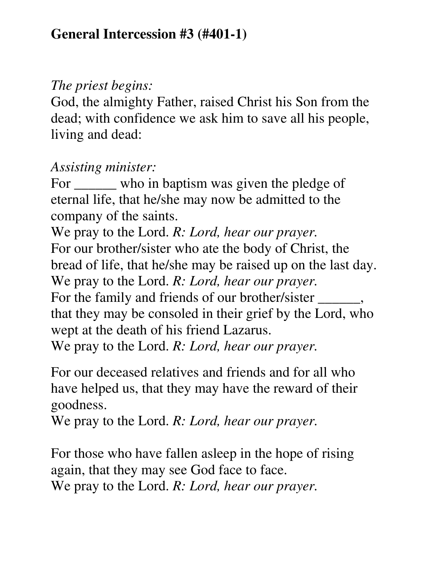## *The priest begins:*

God, the almighty Father, raised Christ his Son from the dead; with confidence we ask him to save all his people, living and dead:

## *Assisting minister:*

For \_\_\_\_\_\_\_ who in baptism was given the pledge of eternal life, that he/she may now be admitted to the company of the saints.

We pray to the Lord. *R: Lord, hear our prayer.*  For our brother/sister who ate the body of Christ, the bread of life, that he/she may be raised up on the last day. We pray to the Lord. *R: Lord, hear our prayer.*  For the family and friends of our brother/sister \_\_\_\_\_\_, that they may be consoled in their grief by the Lord, who wept at the death of his friend Lazarus. We pray to the Lord. *R: Lord, hear our prayer.*

For our deceased relatives and friends and for all who have helped us, that they may have the reward of their goodness.

We pray to the Lord. *R: Lord, hear our prayer.* 

For those who have fallen asleep in the hope of rising again, that they may see God face to face. We pray to the Lord. *R: Lord, hear our prayer.*